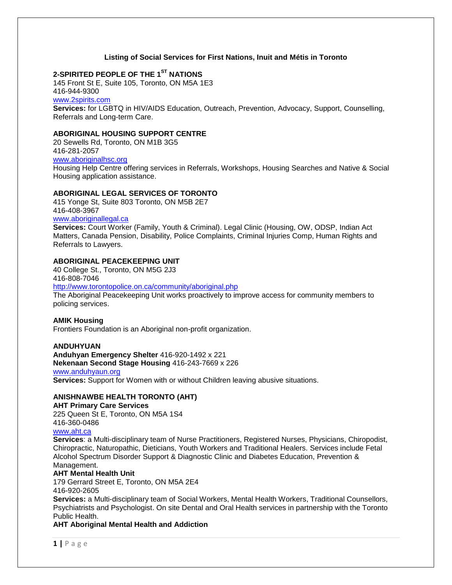## **Listing of Social Services for First Nations, Inuit and Métis in Toronto**

# **2-SPIRITED PEOPLE OF THE 1ST NATIONS**

145 Front St E, Suite 105, Toronto, ON M5A 1E3 416-944-9300

[www.2spirits.com](http://www.2spirits.com/)

**Services:** for LGBTQ in HIV/AIDS Education, Outreach, Prevention, Advocacy, Support, Counselling, Referrals and Long-term Care.

## **ABORIGINAL HOUSING SUPPORT CENTRE**

20 Sewells Rd, Toronto, ON M1B 3G5 416-281-2057 [www.aboriginalhsc.org](http://www.aboriginalhsc.org/)

Housing Help Centre offering services in Referrals, Workshops, Housing Searches and Native & Social Housing application assistance.

## **ABORIGINAL LEGAL SERVICES OF TORONTO**

415 Yonge St, Suite 803 Toronto, ON M5B 2E7 416-408-3967

# [www.aboriginallegal.ca](http://www.aboriginallegal.ca/)

**Services:** Court Worker (Family, Youth & Criminal). Legal Clinic (Housing, OW, ODSP, Indian Act Matters, Canada Pension, Disability, Police Complaints, Criminal Injuries Comp, Human Rights and Referrals to Lawyers.

#### **ABORIGINAL PEACEKEEPING UNIT**

40 College St., Toronto, ON M5G 2J3 416-808-7046

<http://www.torontopolice.on.ca/community/aboriginal.php>

The Aboriginal Peacekeeping Unit works proactively to improve access for community members to policing services.

#### **AMIK Housing**

Frontiers Foundation is an Aboriginal non-profit organization.

#### **ANDUHYUAN**

**Anduhyan Emergency Shelter** 416-920-1492 x 221 **Nekenaan Second Stage Housing** 416-243-7669 x 226

#### [www.anduhyaun.org](http://www.anduhyaun.org/)

**Services:** Support for Women with or without Children leaving abusive situations.

## **ANISHNAWBE HEALTH TORONTO (AHT)**

#### **AHT Primary Care Services**

225 Queen St E, Toronto, ON M5A 1S4 416-360-0486

# [www.aht.ca](http://www.aht.ca/)

**Services**: a Multi-disciplinary team of Nurse Practitioners, Registered Nurses, Physicians, Chiropodist, Chiropractic, Naturopathic, Dieticians, Youth Workers and Traditional Healers. Services include Fetal Alcohol Spectrum Disorder Support & Diagnostic Clinic and Diabetes Education, Prevention & Management.

#### **AHT Mental Health Unit**

179 Gerrard Street E, Toronto, ON M5A 2E4 416-920-2605

**Services:** a Multi-disciplinary team of Social Workers, Mental Health Workers, Traditional Counsellors, Psychiatrists and Psychologist. On site Dental and Oral Health services in partnership with the Toronto Public Health.

**AHT Aboriginal Mental Health and Addiction**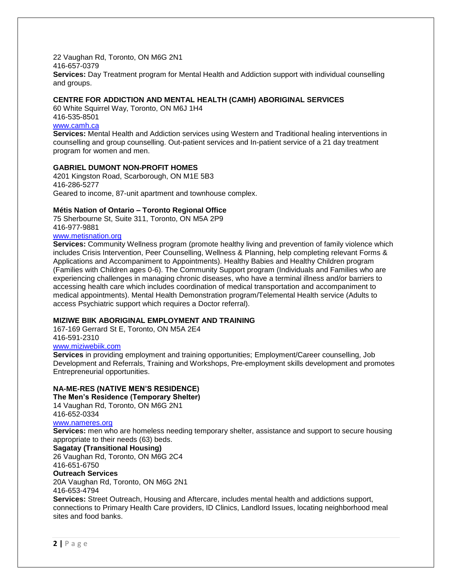22 Vaughan Rd, Toronto, ON M6G 2N1 416-657-0379 **Services:** Day Treatment program for Mental Health and Addiction support with individual counselling and groups.

# **CENTRE FOR ADDICTION AND MENTAL HEALTH (CAMH) ABORIGINAL SERVICES**

60 White Squirrel Way, Toronto, ON M6J 1H4 416-535-8501

## [www.camh.ca](http://www.camh.ca/)

**Services:** Mental Health and Addiction services using Western and Traditional healing interventions in counselling and group counselling. Out-patient services and In-patient service of a 21 day treatment program for women and men.

## **GABRIEL DUMONT NON-PROFIT HOMES**

4201 Kingston Road, Scarborough, ON M1E 5B3 416-286-5277 Geared to income, 87-unit apartment and townhouse complex.

#### **Métis Nation of Ontario – Toronto Regional Office**

75 Sherbourne St, Suite 311, Toronto, ON M5A 2P9 416-977-9881

# [www.metisnation.org](http://www.metisnation.org/)

**Services:** Community Wellness program (promote healthy living and prevention of family violence which includes Crisis Intervention, Peer Counselling, Wellness & Planning, help completing relevant Forms & Applications and Accompaniment to Appointments). Healthy Babies and Healthy Children program (Families with Children ages 0-6). The Community Support program (Individuals and Families who are experiencing challenges in managing chronic diseases, who have a terminal illness and/or barriers to accessing health care which includes coordination of medical transportation and accompaniment to medical appointments). Mental Health Demonstration program/Telemental Health service (Adults to access Psychiatric support which requires a Doctor referral).

#### **MIZIWE BIIK ABORIGINAL EMPLOYMENT AND TRAINING**

167-169 Gerrard St E, Toronto, ON M5A 2E4 416-591-2310

# [www.miziwebiik.com](http://www.miziwebiik.com/)

**Services** in providing employment and training opportunities; Employment/Career counselling, Job Development and Referrals, Training and Workshops, Pre-employment skills development and promotes Entrepreneurial opportunities.

## **NA-ME-RES (NATIVE MEN'S RESIDENCE)**

**The Men's Residence (Temporary Shelter)**

14 Vaughan Rd, Toronto, ON M6G 2N1 416-652-0334

#### [www.nameres.org](http://www.nameres.org/)

**Services:** men who are homeless needing temporary shelter, assistance and support to secure housing appropriate to their needs (63) beds.

#### **Sagatay (Transitional Housing)**

26 Vaughan Rd, Toronto, ON M6G 2C4 416-651-6750

#### **Outreach Services**

20A Vaughan Rd, Toronto, ON M6G 2N1

416-653-4794

**Services:** Street Outreach, Housing and Aftercare, includes mental health and addictions support, connections to Primary Health Care providers, ID Clinics, Landlord Issues, locating neighborhood meal sites and food banks.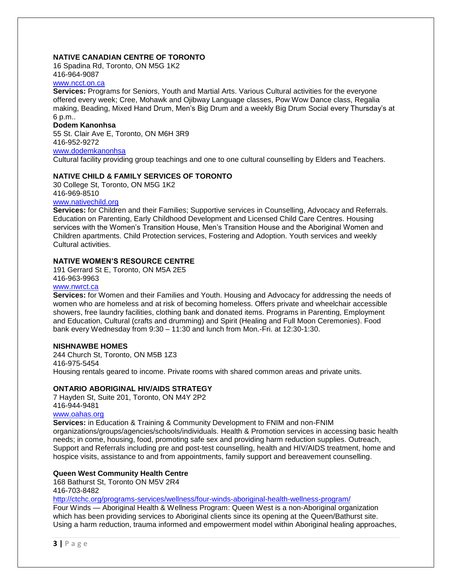# **NATIVE CANADIAN CENTRE OF TORONTO**

16 Spadina Rd, Toronto, ON M5G 1K2 416-964-9087

#### [www.ncct.on.ca](http://www.ncct.on.ca/)

**Services:** Programs for Seniors, Youth and Martial Arts. Various Cultural activities for the everyone offered every week; Cree, Mohawk and Ojibway Language classes, Pow Wow Dance class, Regalia making, Beading, Mixed Hand Drum, Men's Big Drum and a weekly Big Drum Social every Thursday's at 6 p.m..

#### **Dodem Kanonhsa**

55 St. Clair Ave E, Toronto, ON M6H 3R9 416-952-9272

[www.dodemkanonhsa](http://www.dodemkanonhsa/)

Cultural facility providing group teachings and one to one cultural counselling by Elders and Teachers.

## **NATIVE CHILD & FAMILY SERVICES OF TORONTO**

30 College St, Toronto, ON M5G 1K2 416-969-8510 [www.nativechild.org](http://www.nativechild.org/)

**Services:** for Children and their Families; Supportive services in Counselling, Advocacy and Referrals. Education on Parenting, Early Childhood Development and Licensed Child Care Centres. Housing services with the Women's Transition House, Men's Transition House and the Aboriginal Women and Children apartments. Child Protection services, Fostering and Adoption. Youth services and weekly Cultural activities.

# **NATIVE WOMEN'S RESOURCE CENTRE**

191 Gerrard St E, Toronto, ON M5A 2E5 416-963-9963

## [www.nwrct.ca](http://www.nwrct.ca/)

**Services:** for Women and their Families and Youth. Housing and Advocacy for addressing the needs of women who are homeless and at risk of becoming homeless. Offers private and wheelchair accessible showers, free laundry facilities, clothing bank and donated items. Programs in Parenting, Employment and Education, Cultural (crafts and drumming) and Spirit (Healing and Full Moon Ceremonies). Food bank every Wednesday from 9:30 – 11:30 and lunch from Mon.-Fri. at 12:30-1:30.

## **NISHNAWBE HOMES**

244 Church St, Toronto, ON M5B 1Z3 416-975-5454 Housing rentals geared to income. Private rooms with shared common areas and private units.

## **ONTARIO ABORIGINAL HIV/AIDS STRATEGY**

7 Hayden St, Suite 201, Toronto, ON M4Y 2P2 416-944-9481

## [www.oahas.org](http://www.oahas.org/)

**Services:** in Education & Training & Community Development to FNIM and non-FNIM organizations/groups/agencies/schools/individuals. Health & Promotion services in accessing basic health needs; in come, housing, food, promoting safe sex and providing harm reduction supplies. Outreach, Support and Referrals including pre and post-test counselling, health and HIV/AIDS treatment, home and hospice visits, assistance to and from appointments, family support and bereavement counselling.

## **Queen West Community Health Centre**

168 Bathurst St, Toronto ON M5V 2R4 416-703-8482

<http://ctchc.org/programs-services/wellness/four-winds-aboriginal-health-wellness-program/>

Four Winds — Aboriginal Health & Wellness Program: Queen West is a non-Aboriginal organization which has been providing services to Aboriginal clients since its opening at the Queen/Bathurst site. Using a harm reduction, trauma informed and empowerment model within Aboriginal healing approaches,